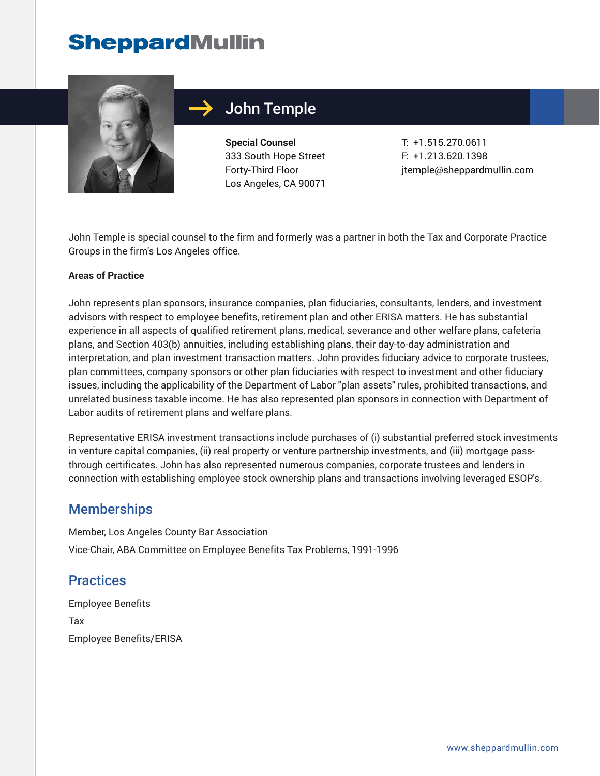## **SheppardMullin**



### John Temple

**Special Counsel** 333 South Hope Street Forty-Third Floor Los Angeles, CA 90071

T: +1.515.270.0611 F: +1.213.620.1398 jtemple@sheppardmullin.com

John Temple is special counsel to the firm and formerly was a partner in both the Tax and Corporate Practice Groups in the firm's Los Angeles office.

#### **Areas of Practice**

John represents plan sponsors, insurance companies, plan fiduciaries, consultants, lenders, and investment advisors with respect to employee benefits, retirement plan and other ERISA matters. He has substantial experience in all aspects of qualified retirement plans, medical, severance and other welfare plans, cafeteria plans, and Section 403(b) annuities, including establishing plans, their day-to-day administration and interpretation, and plan investment transaction matters. John provides fiduciary advice to corporate trustees, plan committees, company sponsors or other plan fiduciaries with respect to investment and other fiduciary issues, including the applicability of the Department of Labor "plan assets" rules, prohibited transactions, and unrelated business taxable income. He has also represented plan sponsors in connection with Department of Labor audits of retirement plans and welfare plans.

Representative ERISA investment transactions include purchases of (i) substantial preferred stock investments in venture capital companies, (ii) real property or venture partnership investments, and (iii) mortgage passthrough certificates. John has also represented numerous companies, corporate trustees and lenders in connection with establishing employee stock ownership plans and transactions involving leveraged ESOP's.

#### **Memberships**

Member, Los Angeles County Bar Association Vice-Chair, ABA Committee on Employee Benefits Tax Problems, 1991-1996

#### **Practices**

Employee Benefits Tax Employee Benefits/ERISA